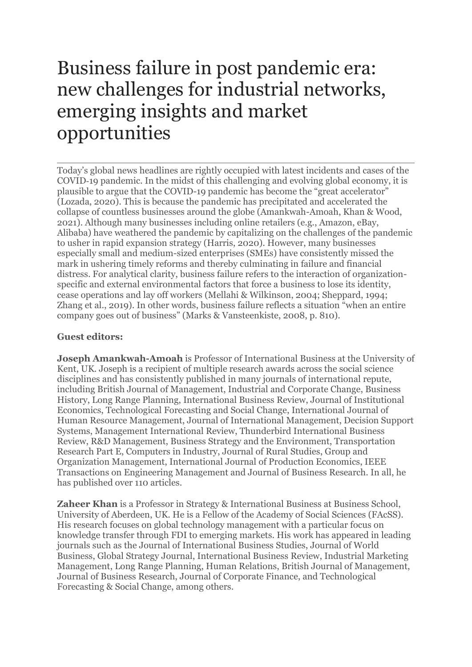# Business failure in post pandemic era: new challenges for industrial networks, emerging insights and market opportunities

Today's global news headlines are rightly occupied with latest incidents and cases of the COVID‐19 pandemic. In the midst of this challenging and evolving global economy, it is plausible to argue that the COVID-19 pandemic has become the "great accelerator" (Lozada, 2020). This is because the pandemic has precipitated and accelerated the collapse of countless businesses around the globe (Amankwah-Amoah, Khan & Wood, 2021). Although many businesses including online retailers (e.g., Amazon, eBay, Alibaba) have weathered the pandemic by capitalizing on the challenges of the pandemic to usher in rapid expansion strategy (Harris, 2020). However, many businesses especially small and medium-sized enterprises (SMEs) have consistently missed the mark in ushering timely reforms and thereby culminating in failure and financial distress. For analytical clarity, business failure refers to the interaction of organizationspecific and external environmental factors that force a business to lose its identity, cease operations and lay off workers (Mellahi & Wilkinson, 2004; Sheppard, 1994; Zhang et al., 2019). In other words, business failure reflects a situation "when an entire company goes out of business" (Marks & Vansteenkiste, 2008, p. 810).

# **Guest editors:**

**Joseph Amankwah-Amoah** is Professor of International Business at the University of Kent, UK. Joseph is a recipient of multiple research awards across the social science disciplines and has consistently published in many journals of international repute, including British Journal of Management, Industrial and Corporate Change, Business History, Long Range Planning, International Business Review, Journal of Institutional Economics, Technological Forecasting and Social Change, International Journal of Human Resource Management, Journal of International Management, Decision Support Systems, Management International Review, Thunderbird International Business Review, R&D Management, Business Strategy and the Environment, Transportation Research Part E, Computers in Industry, Journal of Rural Studies, Group and Organization Management, International Journal of Production Economics, IEEE Transactions on Engineering Management and Journal of Business Research. In all, he has published over 110 articles.

**Zaheer Khan** is a Professor in Strategy & International Business at Business School, University of Aberdeen, UK. He is a Fellow of the Academy of Social Sciences (FAcSS). His research focuses on global technology management with a particular focus on knowledge transfer through FDI to emerging markets. His work has appeared in leading journals such as the Journal of International Business Studies, Journal of World Business, Global Strategy Journal, International Business Review, Industrial Marketing Management, Long Range Planning, Human Relations, British Journal of Management, Journal of Business Research, Journal of Corporate Finance, and Technological Forecasting & Social Change, among others.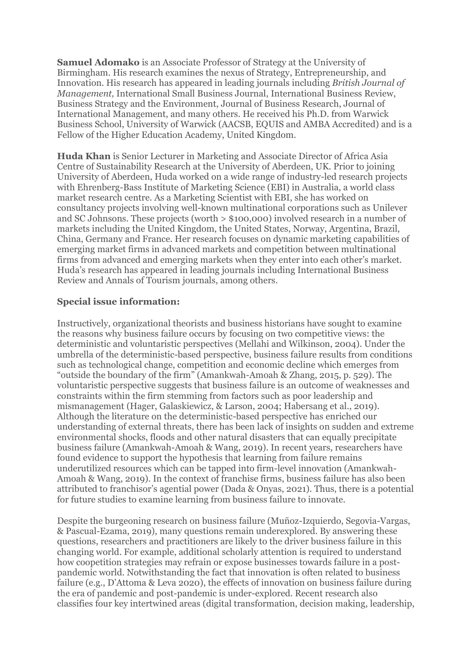**Samuel Adomako** is an Associate Professor of Strategy at the University of Birmingham. His research examines the nexus of Strategy, Entrepreneurship, and Innovation. His research has appeared in leading journals including *British Journal of Management,* International Small Business Journal, International Business Review, Business Strategy and the Environment, Journal of Business Research, Journal of International Management, and many others. He received his Ph.D. from Warwick Business School, University of Warwick (AACSB, EQUIS and AMBA Accredited) and is a Fellow of the Higher Education Academy, United Kingdom.

**Huda Khan** is Senior Lecturer in Marketing and Associate Director of Africa Asia Centre of Sustainability Research at the University of Aberdeen, UK. Prior to joining University of Aberdeen, Huda worked on a wide range of industry-led research projects with Ehrenberg-Bass Institute of Marketing Science (EBI) in Australia, a world class market research centre. As a Marketing Scientist with EBI, she has worked on consultancy projects involving well-known multinational corporations such as Unilever and SC Johnsons. These projects (worth > \$100,000) involved research in a number of markets including the United Kingdom, the United States, Norway, Argentina, Brazil, China, Germany and France. Her research focuses on dynamic marketing capabilities of emerging market firms in advanced markets and competition between multinational firms from advanced and emerging markets when they enter into each other's market. Huda's research has appeared in leading journals including International Business Review and Annals of Tourism journals, among others.

# **Special issue information:**

Instructively, organizational theorists and business historians have sought to examine the reasons why business failure occurs by focusing on two competitive views: the deterministic and voluntaristic perspectives (Mellahi and Wilkinson, 2004). Under the umbrella of the deterministic-based perspective, business failure results from conditions such as technological change, competition and economic decline which emerges from "outside the boundary of the firm" (Amankwah-Amoah & Zhang, 2015, p. 529). The voluntaristic perspective suggests that business failure is an outcome of weaknesses and constraints within the firm stemming from factors such as poor leadership and mismanagement (Hager, Galaskiewicz, & Larson, 2004; Habersang et al., 2019). Although the literature on the deterministic-based perspective has enriched our understanding of external threats, there has been lack of insights on sudden and extreme environmental shocks, floods and other natural disasters that can equally precipitate business failure (Amankwah-Amoah & Wang, 2019). In recent years, researchers have found evidence to support the hypothesis that learning from failure remains underutilized resources which can be tapped into firm-level innovation (Amankwah-Amoah & Wang, 2019). In the context of franchise firms, business failure has also been attributed to franchisor's agential power (Dada & Onyas, 2021). Thus, there is a potential for future studies to examine learning from business failure to innovate.

Despite the burgeoning research on business failure (Muñoz-Izquierdo, Segovia-Vargas, & Pascual-Ezama, 2019), many questions remain underexplored. By answering these questions, researchers and practitioners are likely to the driver business failure in this changing world. For example, additional scholarly attention is required to understand how coopetition strategies may refrain or expose businesses towards failure in a postpandemic world. Notwithstanding the fact that innovation is often related to business failure (e.g., D'Attoma & Leva 2020), the effects of innovation on business failure during the era of pandemic and post-pandemic is under-explored. Recent research also classifies four key intertwined areas (digital transformation, decision making, leadership,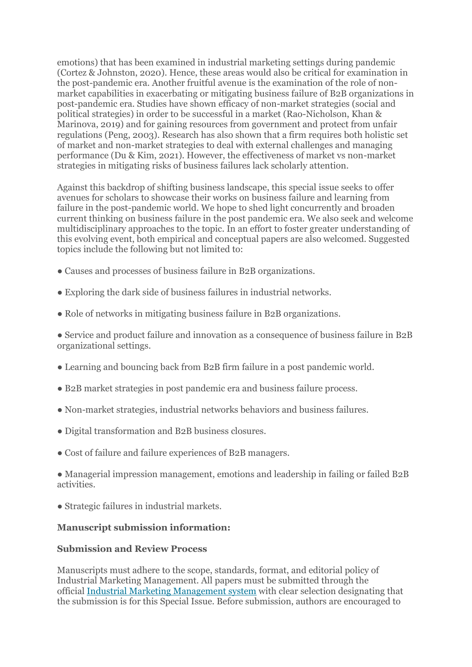emotions) that has been examined in industrial marketing settings during pandemic (Cortez & Johnston, 2020). Hence, these areas would also be critical for examination in the post-pandemic era. Another fruitful avenue is the examination of the role of nonmarket capabilities in exacerbating or mitigating business failure of B2B organizations in post-pandemic era. Studies have shown efficacy of non-market strategies (social and political strategies) in order to be successful in a market (Rao-Nicholson, Khan & Marinova, 2019) and for gaining resources from government and protect from unfair regulations (Peng, 2003). Research has also shown that a firm requires both holistic set of market and non-market strategies to deal with external challenges and managing performance (Du & Kim, 2021). However, the effectiveness of market vs non-market strategies in mitigating risks of business failures lack scholarly attention.

Against this backdrop of shifting business landscape, this special issue seeks to offer avenues for scholars to showcase their works on business failure and learning from failure in the post-pandemic world. We hope to shed light concurrently and broaden current thinking on business failure in the post pandemic era. We also seek and welcome multidisciplinary approaches to the topic. In an effort to foster greater understanding of this evolving event, both empirical and conceptual papers are also welcomed. Suggested topics include the following but not limited to:

- Causes and processes of business failure in B2B organizations.
- Exploring the dark side of business failures in industrial networks.
- Role of networks in mitigating business failure in B2B organizations.

● Service and product failure and innovation as a consequence of business failure in B2B organizational settings.

- Learning and bouncing back from B2B firm failure in a post pandemic world.
- B2B market strategies in post pandemic era and business failure process.
- Non-market strategies, industrial networks behaviors and business failures.
- Digital transformation and B2B business closures.
- Cost of failure and failure experiences of B2B managers.

● Managerial impression management, emotions and leadership in failing or failed B2B activities.

● Strategic failures in industrial markets.

#### **Manuscript submission information:**

### **Submission and Review Process**

Manuscripts must adhere to the scope, standards, format, and editorial policy of Industrial Marketing Management. All papers must be submitted through the official [Industrial Marketing Management system](https://www.editorialmanager.com/immgt/default.aspx) with clear selection designating that the submission is for this Special Issue. Before submission, authors are encouraged to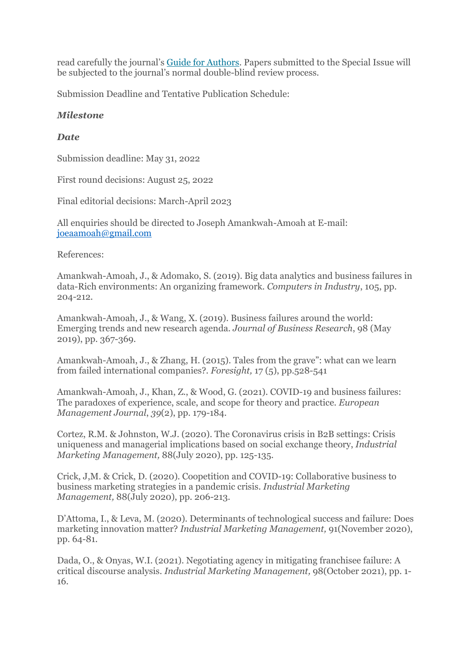read carefully the journal's [Guide for Authors.](https://www.elsevier.com/journals/industrial-marketing-management/0019-8501/guide-for-authors) Papers submitted to the Special Issue will be subjected to the journal's normal double-blind review process.

Submission Deadline and Tentative Publication Schedule:

# *Milestone*

# *Date*

Submission deadline: May 31, 2022

First round decisions: August 25, 2022

Final editorial decisions: March-April 2023

All enquiries should be directed to Joseph Amankwah-Amoah at E-mail: [joeaamoah@gmail.com](mailto:joeaamoah@gmail.com)

References:

Amankwah-Amoah, J., & Adomako, S. (2019). Big data analytics and business failures in data-Rich environments: An organizing framework. *Computers in Industry*, 105, pp. 204-212.

Amankwah-Amoah, J., & Wang, X. (2019). Business failures around the world: Emerging trends and new research agenda. *Journal of Business Research*, 98 (May 2019), pp. 367-369.

Amankwah-Amoah, J., & Zhang, H. (2015). Tales from the grave": what can we learn from failed international companies?. *Foresight,* 17 (5), pp.528-541

Amankwah-Amoah, J., Khan, Z., & Wood, G. (2021). COVID-19 and business failures: The paradoxes of experience, scale, and scope for theory and practice. *European Management Journal*, *39*(2), pp. 179-184.

Cortez, R.M. & Johnston, W.J. (2020). The Coronavirus crisis in B2B settings: Crisis uniqueness and managerial implications based on social exchange theory, *Industrial Marketing Management,* 88(July 2020), pp. 125-135.

Crick, J,M. & Crick, D. (2020). Coopetition and COVID-19: Collaborative business to business marketing strategies in a pandemic crisis. *Industrial Marketing Management,* 88(July 2020), pp. 206-213.

D'Attoma, I., & Leva, M. (2020). Determinants of technological success and failure: Does marketing innovation matter? *Industrial Marketing Management,* 91(November 2020), pp. 64-81.

Dada, O., & Onyas, W.I. (2021). Negotiating agency in mitigating franchisee failure: A critical discourse analysis. *Industrial Marketing Management,* 98(October 2021), pp. 1- 16.